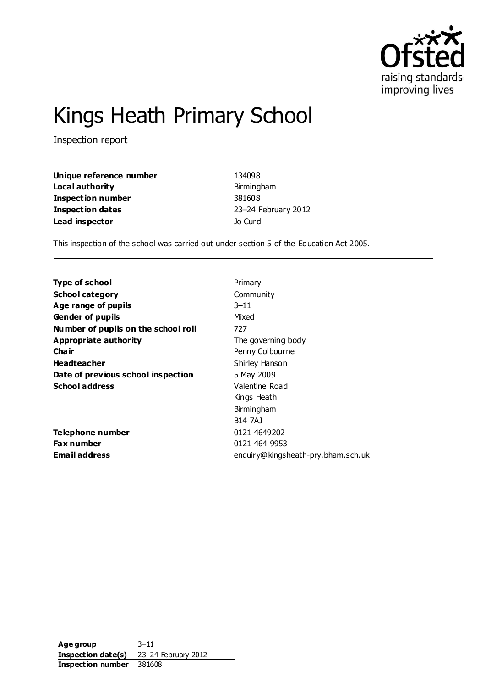

# Kings Heath Primary School

Inspection report

**Unique reference number** 134098 **Local authority Birmingham Inspection number** 381608 **Inspection dates** 23–24 February 2012 **Lead inspector** Jo Curd

This inspection of the school was carried out under section 5 of the Education Act 2005.

| <b>Type of school</b>               | Primary                            |
|-------------------------------------|------------------------------------|
| <b>School category</b>              | Community                          |
| Age range of pupils                 | $3 - 11$                           |
| <b>Gender of pupils</b>             | Mixed                              |
| Number of pupils on the school roll | 727                                |
| Appropriate authority               | The governing body                 |
| Cha ir                              | Penny Colbourne                    |
| <b>Headteacher</b>                  | Shirley Hanson                     |
| Date of previous school inspection  | 5 May 2009                         |
| <b>School address</b>               | Valentine Road                     |
|                                     | Kings Heath                        |
|                                     | Birmingham                         |
|                                     | <b>B14 7AJ</b>                     |
| <b>Telephone number</b>             | 0121 4649202                       |
| Fax number                          | 0121 464 9953                      |
| Email address                       | enquiry@kingsheath-pry.bham.sch.uk |

**Age group** 3–11 **Inspection date(s)** 23–24 February 2012 **Inspection number** 381608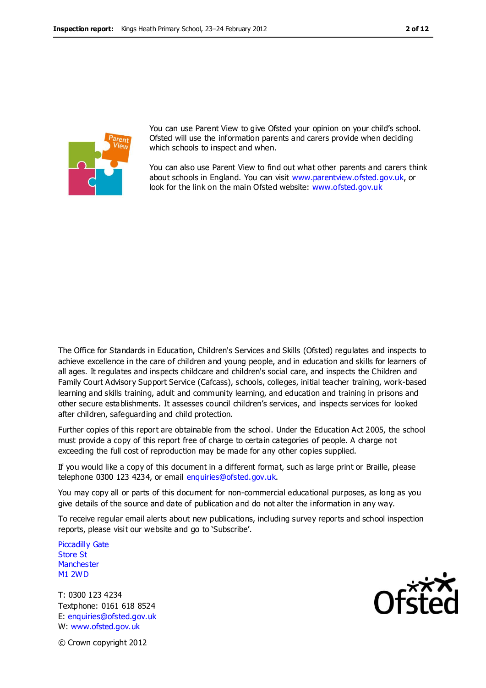

You can use Parent View to give Ofsted your opinion on your child's school. Ofsted will use the information parents and carers provide when deciding which schools to inspect and when.

You can also use Parent View to find out what other parents and carers think about schools in England. You can visit [www.parentview.ofsted.gov.uk,](http://www.parentview.ofsted.gov.uk/) or look for the link on the main Ofsted website: [www.ofsted.gov.uk](http://www.ofsted.gov.uk/)

The Office for Standards in Education, Children's Services and Skills (Ofsted) regulates and inspects to achieve excellence in the care of children and young people, and in education and skills for learners of all ages. It regulates and inspects childcare and children's social care, and inspects the Children and Family Court Advisory Support Service (Cafcass), schools, colleges, initial teacher training, work-based learning and skills training, adult and community learning, and education and training in prisons and other secure establishments. It assesses council children's services, and inspects services for looked after children, safeguarding and child protection.

Further copies of this report are obtainable from the school. Under the Education Act 2005, the school must provide a copy of this report free of charge to certain categories of people. A charge not exceeding the full cost of reproduction may be made for any other copies supplied.

If you would like a copy of this document in a different format, such as large print or Braille, please telephone 0300 123 4234, or email enquiries@ofsted.gov.uk.

You may copy all or parts of this document for non-commercial educational purposes, as long as you give details of the source and date of publication and do not alter the information in any way.

To receive regular email alerts about new publications, including survey reports and school inspection reports, please visit our website and go to 'Subscribe'.

Piccadilly Gate Store St **Manchester** M1 2WD

T: 0300 123 4234 Textphone: 0161 618 8524 E: enquiries@ofsted.gov.uk W: www.ofsted.gov.uk

© Crown copyright 2012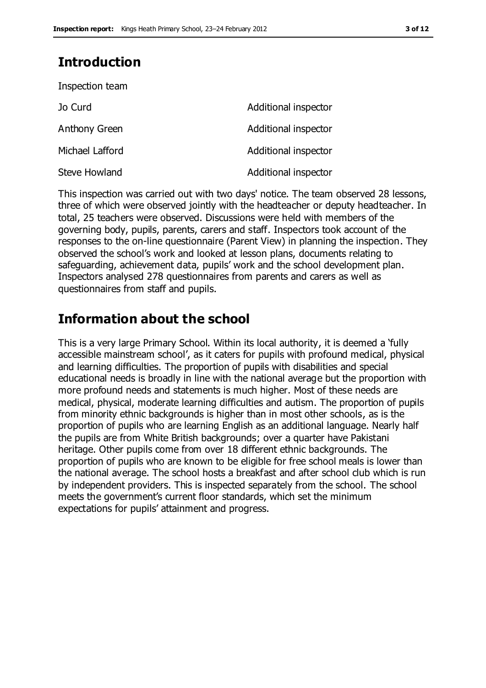### **Introduction**

Inspection team

| Jo Curd         | Additional inspector |
|-----------------|----------------------|
| Anthony Green   | Additional inspector |
| Michael Lafford | Additional inspector |
| Steve Howland   | Additional inspector |

This inspection was carried out with two days' notice. The team observed 28 lessons, three of which were observed jointly with the headteacher or deputy headteacher. In total, 25 teachers were observed. Discussions were held with members of the governing body, pupils, parents, carers and staff. Inspectors took account of the responses to the on-line questionnaire (Parent View) in planning the inspection. They observed the school's work and looked at lesson plans, documents relating to safeguarding, achievement data, pupils' work and the school development plan. Inspectors analysed 278 questionnaires from parents and carers as well as questionnaires from staff and pupils.

### **Information about the school**

This is a very large Primary School. Within its local authority, it is deemed a 'fully accessible mainstream school', as it caters for pupils with profound medical, physical and learning difficulties. The proportion of pupils with disabilities and special educational needs is broadly in line with the national average but the proportion with more profound needs and statements is much higher. Most of these needs are medical, physical, moderate learning difficulties and autism. The proportion of pupils from minority ethnic backgrounds is higher than in most other schools, as is the proportion of pupils who are learning English as an additional language. Nearly half the pupils are from White British backgrounds; over a quarter have Pakistani heritage. Other pupils come from over 18 different ethnic backgrounds. The proportion of pupils who are known to be eligible for free school meals is lower than the national average. The school hosts a breakfast and after school club which is run by independent providers. This is inspected separately from the school. The school meets the government's current floor standards, which set the minimum expectations for pupils' attainment and progress.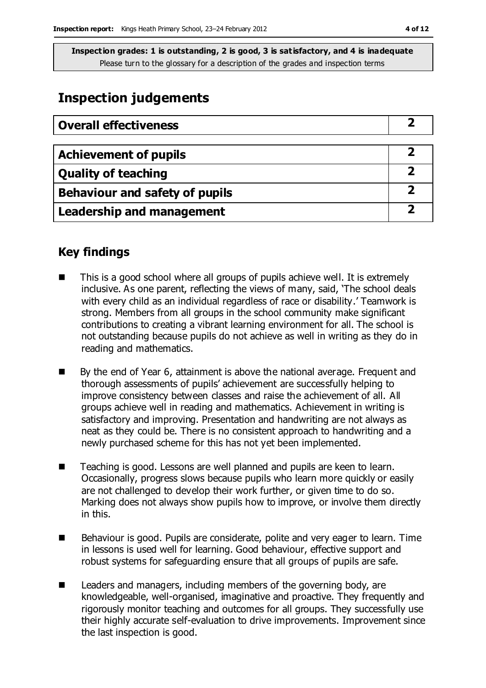### **Inspection judgements**

| <b>Overall effectiveness</b>     |  |
|----------------------------------|--|
|                                  |  |
| <b>Achievement of pupils</b>     |  |
| <b>Quality of teaching</b>       |  |
| Behaviour and safety of pupils   |  |
| <b>Leadership and management</b> |  |

### **Key findings**

- This is a good school where all groups of pupils achieve well. It is extremely inclusive. As one parent, reflecting the views of many, said, 'The school deals with every child as an individual regardless of race or disability.' Teamwork is strong. Members from all groups in the school community make significant contributions to creating a vibrant learning environment for all. The school is not outstanding because pupils do not achieve as well in writing as they do in reading and mathematics.
- By the end of Year 6, attainment is above the national average. Frequent and thorough assessments of pupils' achievement are successfully helping to improve consistency between classes and raise the achievement of all. All groups achieve well in reading and mathematics. Achievement in writing is satisfactory and improving. Presentation and handwriting are not always as neat as they could be. There is no consistent approach to handwriting and a newly purchased scheme for this has not yet been implemented.
- Teaching is good. Lessons are well planned and pupils are keen to learn. Occasionally, progress slows because pupils who learn more quickly or easily are not challenged to develop their work further, or given time to do so. Marking does not always show pupils how to improve, or involve them directly in this.
- Behaviour is good. Pupils are considerate, polite and very eager to learn. Time in lessons is used well for learning. Good behaviour, effective support and robust systems for safeguarding ensure that all groups of pupils are safe.
- Leaders and managers, including members of the governing body, are knowledgeable, well-organised, imaginative and proactive. They frequently and rigorously monitor teaching and outcomes for all groups. They successfully use their highly accurate self-evaluation to drive improvements. Improvement since the last inspection is good.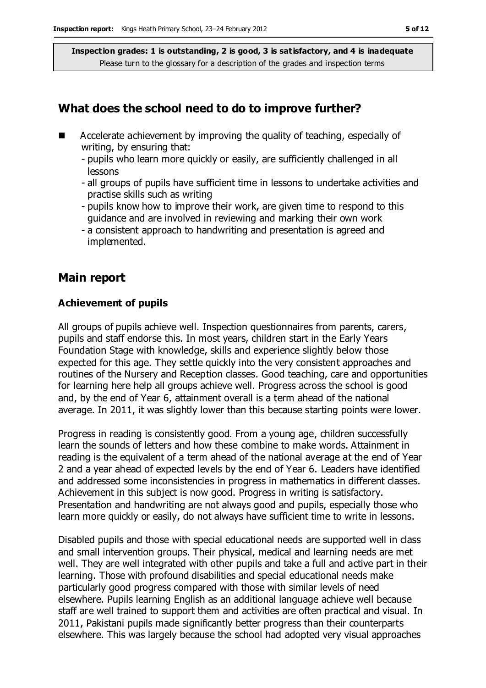### **What does the school need to do to improve further?**

- **EXTERGHTM** Accelerate achievement by improving the quality of teaching, especially of writing, by ensuring that:
	- pupils who learn more quickly or easily, are sufficiently challenged in all lessons
	- all groups of pupils have sufficient time in lessons to undertake activities and practise skills such as writing
	- pupils know how to improve their work, are given time to respond to this guidance and are involved in reviewing and marking their own work
	- a consistent approach to handwriting and presentation is agreed and implemented.

#### **Main report**

#### **Achievement of pupils**

All groups of pupils achieve well. Inspection questionnaires from parents, carers, pupils and staff endorse this. In most years, children start in the Early Years Foundation Stage with knowledge, skills and experience slightly below those expected for this age. They settle quickly into the very consistent approaches and routines of the Nursery and Reception classes. Good teaching, care and opportunities for learning here help all groups achieve well. Progress across the school is good and, by the end of Year 6, attainment overall is a term ahead of the national average. In 2011, it was slightly lower than this because starting points were lower.

Progress in reading is consistently good. From a young age, children successfully learn the sounds of letters and how these combine to make words. Attainment in reading is the equivalent of a term ahead of the national average at the end of Year 2 and a year ahead of expected levels by the end of Year 6. Leaders have identified and addressed some inconsistencies in progress in mathematics in different classes. Achievement in this subject is now good. Progress in writing is satisfactory. Presentation and handwriting are not always good and pupils, especially those who learn more quickly or easily, do not always have sufficient time to write in lessons.

Disabled pupils and those with special educational needs are supported well in class and small intervention groups. Their physical, medical and learning needs are met well. They are well integrated with other pupils and take a full and active part in their learning. Those with profound disabilities and special educational needs make particularly good progress compared with those with similar levels of need elsewhere. Pupils learning English as an additional language achieve well because staff are well trained to support them and activities are often practical and visual. In 2011, Pakistani pupils made significantly better progress than their counterparts elsewhere. This was largely because the school had adopted very visual approaches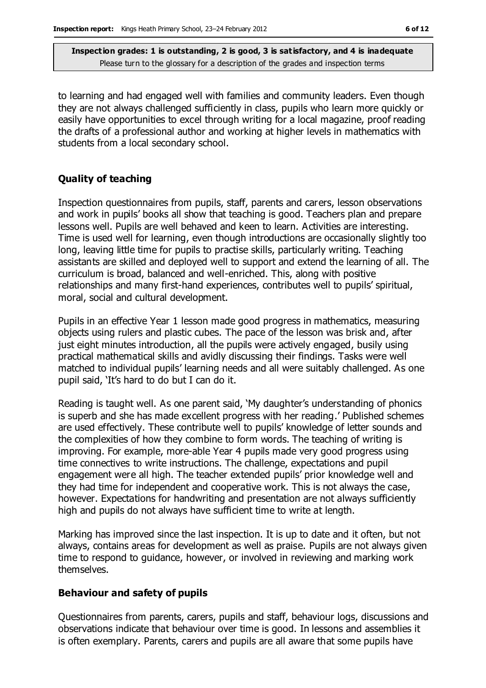to learning and had engaged well with families and community leaders. Even though they are not always challenged sufficiently in class, pupils who learn more quickly or easily have opportunities to excel through writing for a local magazine, proof reading the drafts of a professional author and working at higher levels in mathematics with students from a local secondary school.

#### **Quality of teaching**

Inspection questionnaires from pupils, staff, parents and carers, lesson observations and work in pupils' books all show that teaching is good. Teachers plan and prepare lessons well. Pupils are well behaved and keen to learn. Activities are interesting. Time is used well for learning, even though introductions are occasionally slightly too long, leaving little time for pupils to practise skills, particularly writing. Teaching assistants are skilled and deployed well to support and extend the learning of all. The curriculum is broad, balanced and well-enriched. This, along with positive relationships and many first-hand experiences, contributes well to pupils' spiritual, moral, social and cultural development.

Pupils in an effective Year 1 lesson made good progress in mathematics, measuring objects using rulers and plastic cubes. The pace of the lesson was brisk and, after just eight minutes introduction, all the pupils were actively engaged, busily using practical mathematical skills and avidly discussing their findings. Tasks were well matched to individual pupils' learning needs and all were suitably challenged. As one pupil said, 'It's hard to do but I can do it.

Reading is taught well. As one parent said, 'My daughter's understanding of phonics is superb and she has made excellent progress with her reading.' Published schemes are used effectively. These contribute well to pupils' knowledge of letter sounds and the complexities of how they combine to form words. The teaching of writing is improving. For example, more-able Year 4 pupils made very good progress using time connectives to write instructions. The challenge, expectations and pupil engagement were all high. The teacher extended pupils' prior knowledge well and they had time for independent and cooperative work. This is not always the case, however. Expectations for handwriting and presentation are not always sufficiently high and pupils do not always have sufficient time to write at length.

Marking has improved since the last inspection. It is up to date and it often, but not always, contains areas for development as well as praise. Pupils are not always given time to respond to guidance, however, or involved in reviewing and marking work themselves.

#### **Behaviour and safety of pupils**

Questionnaires from parents, carers, pupils and staff, behaviour logs, discussions and observations indicate that behaviour over time is good. In lessons and assemblies it is often exemplary. Parents, carers and pupils are all aware that some pupils have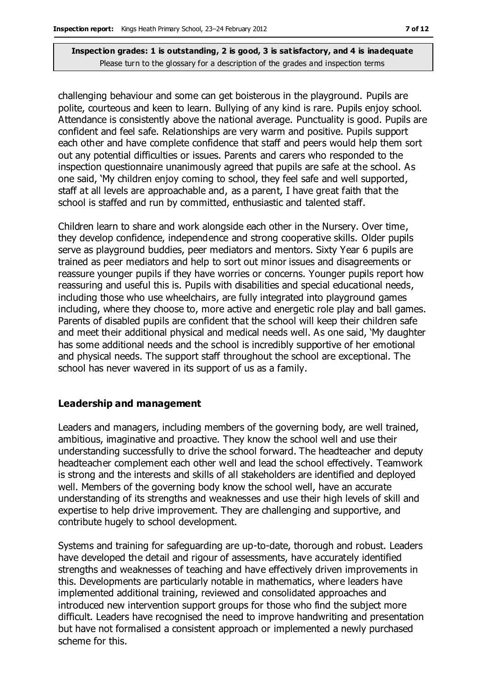challenging behaviour and some can get boisterous in the playground. Pupils are polite, courteous and keen to learn. Bullying of any kind is rare. Pupils enjoy school. Attendance is consistently above the national average. Punctuality is good. Pupils are confident and feel safe. Relationships are very warm and positive. Pupils support each other and have complete confidence that staff and peers would help them sort out any potential difficulties or issues. Parents and carers who responded to the inspection questionnaire unanimously agreed that pupils are safe at the school. As one said, 'My children enjoy coming to school, they feel safe and well supported, staff at all levels are approachable and, as a parent, I have great faith that the school is staffed and run by committed, enthusiastic and talented staff.

Children learn to share and work alongside each other in the Nursery. Over time, they develop confidence, independence and strong cooperative skills. Older pupils serve as playground buddies, peer mediators and mentors. Sixty Year 6 pupils are trained as peer mediators and help to sort out minor issues and disagreements or reassure younger pupils if they have worries or concerns. Younger pupils report how reassuring and useful this is. Pupils with disabilities and special educational needs, including those who use wheelchairs, are fully integrated into playground games including, where they choose to, more active and energetic role play and ball games. Parents of disabled pupils are confident that the school will keep their children safe and meet their additional physical and medical needs well. As one said, 'My daughter has some additional needs and the school is incredibly supportive of her emotional and physical needs. The support staff throughout the school are exceptional. The school has never wavered in its support of us as a family.

#### **Leadership and management**

Leaders and managers, including members of the governing body, are well trained, ambitious, imaginative and proactive. They know the school well and use their understanding successfully to drive the school forward. The headteacher and deputy headteacher complement each other well and lead the school effectively. Teamwork is strong and the interests and skills of all stakeholders are identified and deployed well. Members of the governing body know the school well, have an accurate understanding of its strengths and weaknesses and use their high levels of skill and expertise to help drive improvement. They are challenging and supportive, and contribute hugely to school development.

Systems and training for safeguarding are up-to-date, thorough and robust. Leaders have developed the detail and rigour of assessments, have accurately identified strengths and weaknesses of teaching and have effectively driven improvements in this. Developments are particularly notable in mathematics, where leaders have implemented additional training, reviewed and consolidated approaches and introduced new intervention support groups for those who find the subject more difficult. Leaders have recognised the need to improve handwriting and presentation but have not formalised a consistent approach or implemented a newly purchased scheme for this.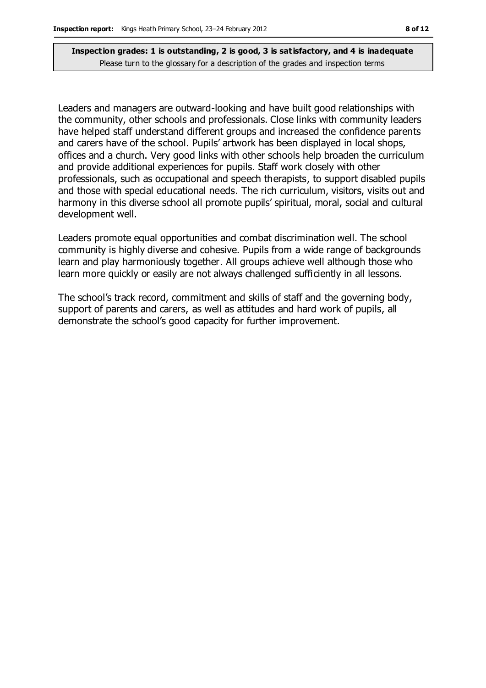Leaders and managers are outward-looking and have built good relationships with the community, other schools and professionals. Close links with community leaders have helped staff understand different groups and increased the confidence parents and carers have of the school. Pupils' artwork has been displayed in local shops, offices and a church. Very good links with other schools help broaden the curriculum and provide additional experiences for pupils. Staff work closely with other professionals, such as occupational and speech therapists, to support disabled pupils and those with special educational needs. The rich curriculum, visitors, visits out and harmony in this diverse school all promote pupils' spiritual, moral, social and cultural development well.

Leaders promote equal opportunities and combat discrimination well. The school community is highly diverse and cohesive. Pupils from a wide range of backgrounds learn and play harmoniously together. All groups achieve well although those who learn more quickly or easily are not always challenged sufficiently in all lessons.

The school's track record, commitment and skills of staff and the governing body, support of parents and carers, as well as attitudes and hard work of pupils, all demonstrate the school's good capacity for further improvement.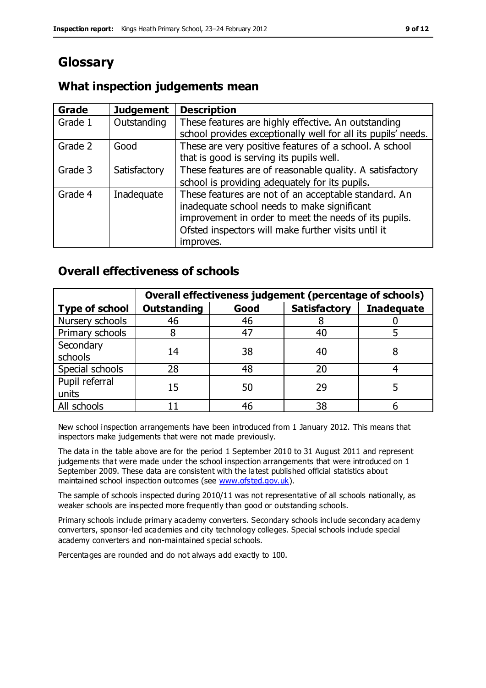### **Glossary**

### **What inspection judgements mean**

| Grade   | <b>Judgement</b> | <b>Description</b>                                            |
|---------|------------------|---------------------------------------------------------------|
| Grade 1 | Outstanding      | These features are highly effective. An outstanding           |
|         |                  | school provides exceptionally well for all its pupils' needs. |
| Grade 2 | Good             | These are very positive features of a school. A school        |
|         |                  | that is good is serving its pupils well.                      |
| Grade 3 | Satisfactory     | These features are of reasonable quality. A satisfactory      |
|         |                  | school is providing adequately for its pupils.                |
| Grade 4 | Inadequate       | These features are not of an acceptable standard. An          |
|         |                  | inadequate school needs to make significant                   |
|         |                  | improvement in order to meet the needs of its pupils.         |
|         |                  | Ofsted inspectors will make further visits until it           |
|         |                  | improves.                                                     |

### **Overall effectiveness of schools**

|                         | Overall effectiveness judgement (percentage of schools) |      |                     |                   |
|-------------------------|---------------------------------------------------------|------|---------------------|-------------------|
| <b>Type of school</b>   | <b>Outstanding</b>                                      | Good | <b>Satisfactory</b> | <b>Inadequate</b> |
| Nursery schools         | 46                                                      | 46   |                     |                   |
| Primary schools         |                                                         | 47   | 40                  |                   |
| Secondary<br>schools    | 14                                                      | 38   | 40                  |                   |
| Special schools         | 28                                                      | 48   | 20                  |                   |
| Pupil referral<br>units | 15                                                      | 50   | 29                  |                   |
| All schools             |                                                         | 46   | 38                  |                   |

New school inspection arrangements have been introduced from 1 January 2012. This means that inspectors make judgements that were not made previously.

The data in the table above are for the period 1 September 2010 to 31 August 2011 and represent judgements that were made under the school inspection arrangements that were introduced on 1 September 2009. These data are consistent with the latest published official statistics about maintained school inspection outcomes (see [www.ofsted.gov.uk\)](http://www.ofsted.gov.uk/).

The sample of schools inspected during 2010/11 was not representative of all schools nationally, as weaker schools are inspected more frequently than good or outstanding schools.

Primary schools include primary academy converters. Secondary schools include secondary academy converters, sponsor-led academies and city technology colleges. Special schools include special academy converters and non-maintained special schools.

Percentages are rounded and do not always add exactly to 100.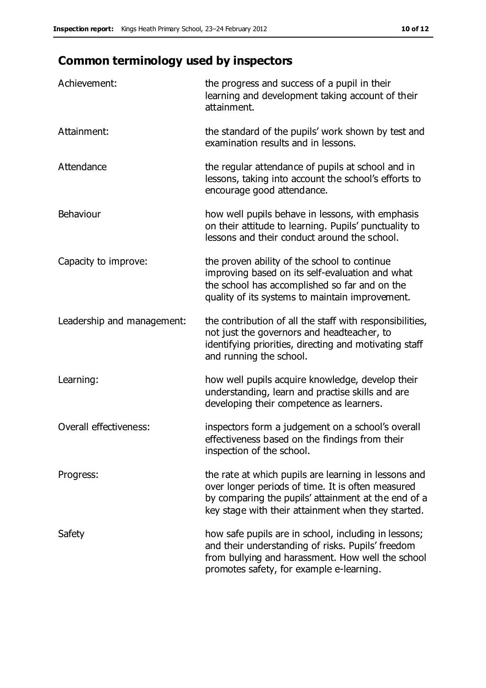## **Common terminology used by inspectors**

| Achievement:                  | the progress and success of a pupil in their<br>learning and development taking account of their<br>attainment.                                                                                                        |
|-------------------------------|------------------------------------------------------------------------------------------------------------------------------------------------------------------------------------------------------------------------|
| Attainment:                   | the standard of the pupils' work shown by test and<br>examination results and in lessons.                                                                                                                              |
| Attendance                    | the regular attendance of pupils at school and in<br>lessons, taking into account the school's efforts to<br>encourage good attendance.                                                                                |
| Behaviour                     | how well pupils behave in lessons, with emphasis<br>on their attitude to learning. Pupils' punctuality to<br>lessons and their conduct around the school.                                                              |
| Capacity to improve:          | the proven ability of the school to continue<br>improving based on its self-evaluation and what<br>the school has accomplished so far and on the<br>quality of its systems to maintain improvement.                    |
| Leadership and management:    | the contribution of all the staff with responsibilities,<br>not just the governors and headteacher, to<br>identifying priorities, directing and motivating staff<br>and running the school.                            |
| Learning:                     | how well pupils acquire knowledge, develop their<br>understanding, learn and practise skills and are<br>developing their competence as learners.                                                                       |
| <b>Overall effectiveness:</b> | inspectors form a judgement on a school's overall<br>effectiveness based on the findings from their<br>inspection of the school.                                                                                       |
| Progress:                     | the rate at which pupils are learning in lessons and<br>over longer periods of time. It is often measured<br>by comparing the pupils' attainment at the end of a<br>key stage with their attainment when they started. |
| Safety                        | how safe pupils are in school, including in lessons;<br>and their understanding of risks. Pupils' freedom<br>from bullying and harassment. How well the school<br>promotes safety, for example e-learning.             |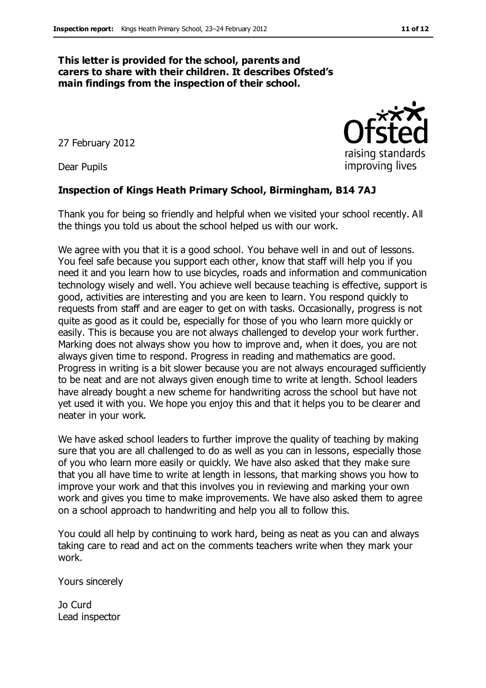#### **This letter is provided for the school, parents and carers to share with their children. It describes Ofsted's main findings from the inspection of their school.**

27 February 2012

Dear Pupils

#### **Inspection of Kings Heath Primary School, Birmingham, B14 7AJ**

Thank you for being so friendly and helpful when we visited your school recently. All the things you told us about the school helped us with our work.

We agree with you that it is a good school. You behave well in and out of lessons. You feel safe because you support each other, know that staff will help you if you need it and you learn how to use bicycles, roads and information and communication technology wisely and well. You achieve well because teaching is effective, support is good, activities are interesting and you are keen to learn. You respond quickly to requests from staff and are eager to get on with tasks. Occasionally, progress is not quite as good as it could be, especially for those of you who learn more quickly or easily. This is because you are not always challenged to develop your work further. Marking does not always show you how to improve and, when it does, you are not always given time to respond. Progress in reading and mathematics are good. Progress in writing is a bit slower because you are not always encouraged sufficiently to be neat and are not always given enough time to write at length. School leaders have already bought a new scheme for handwriting across the school but have not yet used it with you. We hope you enjoy this and that it helps you to be clearer and neater in your work.

We have asked school leaders to further improve the quality of teaching by making sure that you are all challenged to do as well as you can in lessons, especially those of you who learn more easily or quickly. We have also asked that they make sure that you all have time to write at length in lessons, that marking shows you how to improve your work and that this involves you in reviewing and marking your own work and gives you time to make improvements. We have also asked them to agree on a school approach to handwriting and help you all to follow this.

You could all help by continuing to work hard, being as neat as you can and always taking care to read and act on the comments teachers write when they mark your work.

Yours sincerely

Jo Curd Lead inspector